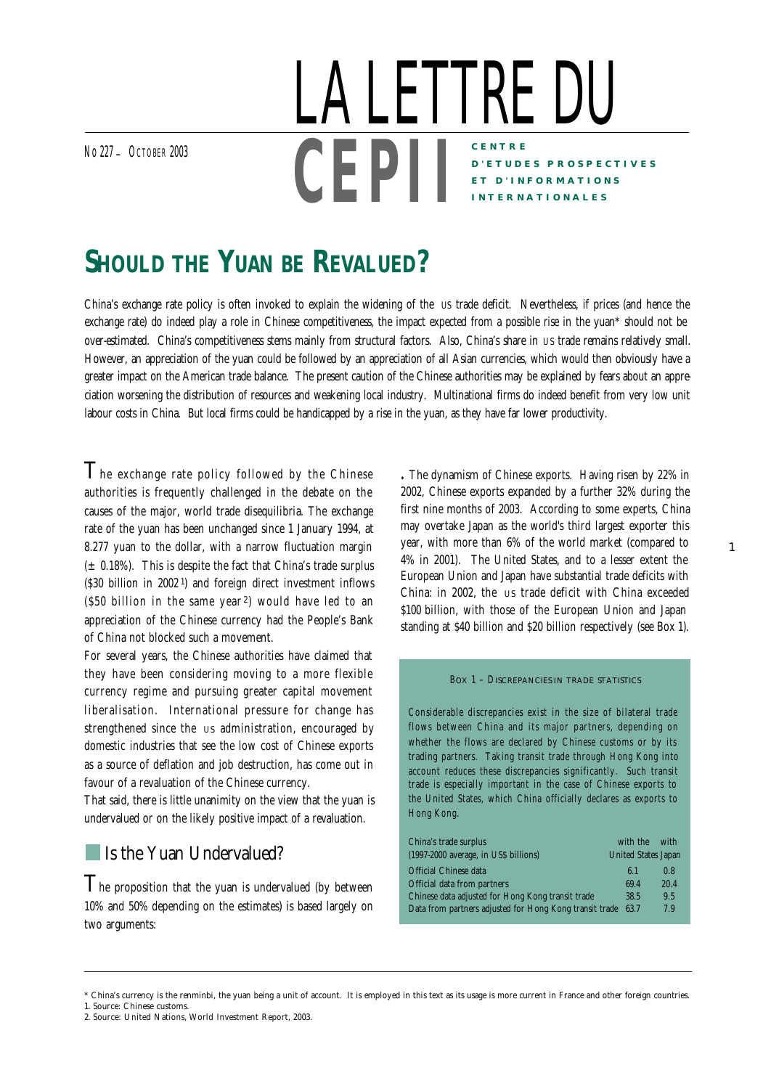No <sup>227</sup>\_ OCTOBER <sup>2003</sup>

## **CENTRE D'ETUDES PROSPECTIVES ET D'INFORMATIONS INTERNATIONALES** LA LETTRE DU **CEPI I**

# **SHOULD THE YUAN BE REVALUED?**

*China's exchange rate policy is often invoked to explain the widening of the us trade deficit. Nevertheless, if prices (and hence the exchange rate) do indeed play a role in Chinese competitiveness, the impact expected from a possible rise in the yuan\* should not be over-estimated. China's competitiveness stems mainly from structural factors. Also, China's share in US trade remains relatively small. However, an appreciation of the yuan could be followed by an appreciation of all Asian currencies, which would then obviously have a greater impact on the American trade balance. The present caution of the Chinese authorities may be explained by fears about an appreciation worsening the distribution of resources and weakening local industry. Multinational firms do indeed benefit from very low unit labour costs in China. But local firms could be handicapped by a rise in the yuan, as they have far lower productivity.*

 $\mathsf T$ he exchange rate policy followed by the Chinese authorities is frequently challenged in the debate on the causes of the major, world trade disequilibria. The exchange rate of the yuan has been unchanged since 1 January 1994, at 8.277 yuan to the dollar, with a narrow fluctuation margin  $(± 0.18%)$ . This is despite the fact that China's trade surplus (\$30 billion in 2002 1) and foreign direct investment inflows (\$50 billion in the same year 2) would have led to an appreciation of the Chinese currency had the People's Bank of China not blocked such a movement.

For several years, the Chinese authorities have claimed that they have been considering moving to a more flexible currency regime and pursuing greater capital movement liberalisation. International pressure for change has strengthened since the us administration, encouraged by domestic industries that see the low cost of Chinese exports as a source of deflation and job destruction, has come out in favour of a revaluation of the Chinese currency.

That said, there is little unanimity on the view that the yuan is undervalued or on the likely positive impact of a revaluation.

### **Is the Yuan Undervalued?**

 $T$ he proposition that the yuan is undervalued (by between 10% and 50% depending on the estimates) is based largely on two arguments:

**.** *The dynamism of Chinese exports*. Having risen by 22% in 2002, Chinese exports expanded by a further 32% during the first nine months of 2003. According to some experts, China may overtake Japan as the world's third largest exporter this year, with more than 6% of the world market (compared to 4% in 2001). The United States, and to a lesser extent the European Union and Japan have substantial trade deficits with China: in 2002, the us trade deficit with China exceeded \$100 billion, with those of the European Union and Japan standing at \$40 billion and \$20 billion respectively (see Box 1).

1

#### BOX 1 – DISCREPANCIES IN TRADE STATISTICS

Considerable discrepancies exist in the size of bilateral trade flows between China and its major partners, depending on whether the flows are declared by Chinese customs or by its trading partners. Taking transit trade through Hong Kong into account reduces these discrepancies significantly. Such transit trade is especially important in the case of Chinese exports to the United States, which China officially declares as exports to Hong Kong.

| China's trade surplus                                        | with the                   | with |  |
|--------------------------------------------------------------|----------------------------|------|--|
| (1997-2000 average, in US\$ billions)                        | <b>United States Japan</b> |      |  |
| <b>Official Chinese data</b>                                 | 6.1                        | 0.8  |  |
| Official data from partners                                  | 69.4                       | 20.4 |  |
| Chinese data adjusted for Hong Kong transit trade            | 38.5                       | 9.5  |  |
| Data from partners adjusted for Hong Kong transit trade 63.7 |                            | 7.9  |  |

<sup>\*</sup> China's currency is the renminbi, the yuan being a unit of account. It is employed in this text as its usage is more current in France and other foreign countries.

<sup>1.</sup> Source: Chinese customs.

<sup>2.</sup> Source: United Nations, *World Investment Report*, 2003.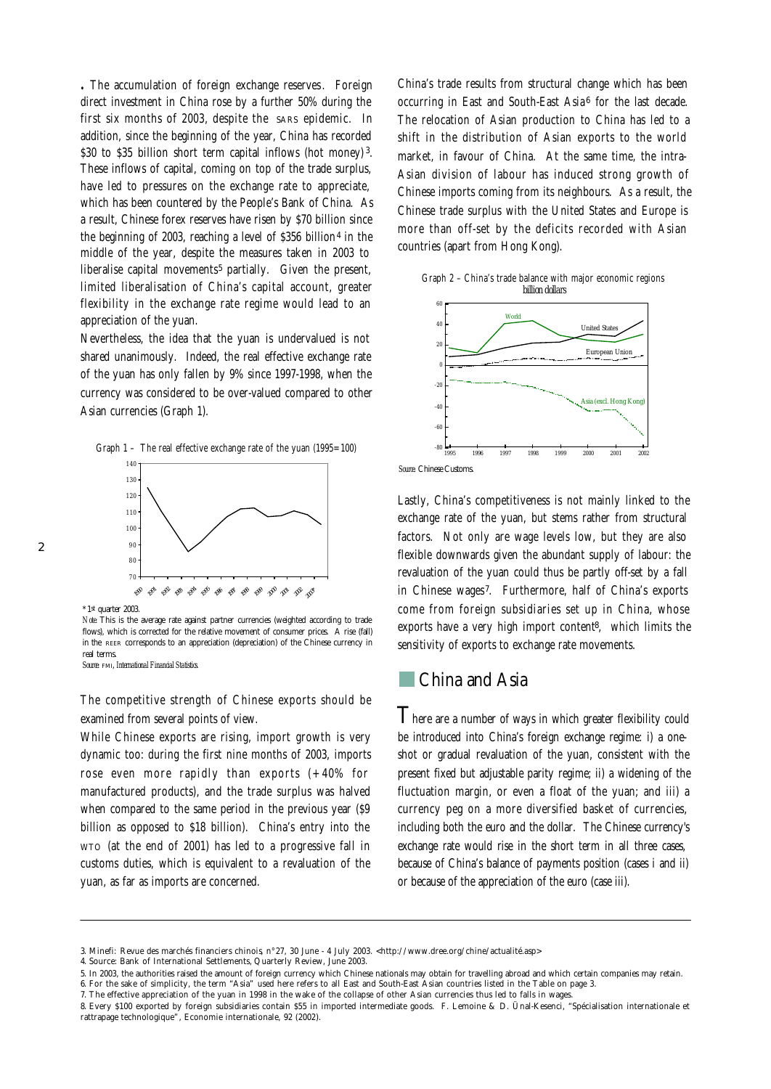**.** *The accumulation of foreign exchange reserves*. Foreign direct investment in China rose by a further 50% during the first six months of 2003, despite the SARS epidemic. In addition, since the beginning of the year, China has recorded \$30 to \$35 billion short term capital inflows (hot money)<sup>3</sup>. These inflows of capital, coming on top of the trade surplus, have led to pressures on the exchange rate to appreciate, which has been countered by the People's Bank of China. As a result, Chinese forex reserves have risen by \$70 billion since the beginning of 2003, reaching a level of \$356 billion<sup>4</sup> in the middle of the year, despite the measures taken in 2003 to liberalise capital movements<sup>5</sup> partially. Given the present, limited liberalisation of China's capital account, greater flexibility in the exchange rate regime would lead to an appreciation of the yuan.

Nevertheless, the idea that the yuan is undervalued is not shared unanimously. Indeed, the real effective exchange rate of the yuan has only fallen by 9% since 1997-1998, when the currency was considered to be over-valued compared to other Asian currencies (Graph 1).



\*1st quarter 2003.

*Note:* This is the average rate against partner currencies (weighted according to trade flows), which is corrected for the relative movement of consumer prices. A rise (fall) in the REER corresponds to an appreciation (depreciation) of the Chinese currency in real terms.

*Source:* FMI, *International Financial Statistics.*

The competitive strength of Chinese exports should be examined from several points of view.

While Chinese exports are rising, import growth is very dynamic too: during the first nine months of 2003, imports rose even more rapidly than exports (+40% for manufactured products), and the trade surplus was halved when compared to the same period in the previous year (\$9 billion as opposed to \$18 billion). China's entry into the WTO (at the end of 2001) has led to a progressive fall in customs duties, which is equivalent to a revaluation of the yuan, as far as imports are concerned.

China's trade results from structural change which has been occurring in East and South-East Asia<sup>6</sup> for the last decade. The relocation of Asian production to China has led to a shift in the distribution of Asian exports to the world market, in favour of China. At the same time, the intra-Asian division of labour has induced strong growth of Chinese imports coming from its neighbours. As a result, the Chinese trade surplus with the United States and Europe is more than off-set by the deficits recorded with Asian countries (apart from Hong Kong).

Graph 2 – China's trade balance with major economic regions *billion dollars*



*Source:* Chinese: Customs.

Lastly, China's competitiveness is not mainly linked to the exchange rate of the yuan, but stems rather from structural factors. Not only are wage levels low, but they are also flexible downwards given the abundant supply of labour: the revaluation of the yuan could thus be partly off-set by a fall in Chinese wages<sup>7</sup>. Furthermore, half of China's exports come from foreign subsidiaries set up in China, whose exports have a very high import content<sup>8</sup>, which limits the sensitivity of exports to exchange rate movements.

### China and Asia

There are a number of ways in which greater flexibility could be introduced into China's foreign exchange regime: i) a oneshot or gradual revaluation of the yuan, consistent with the present fixed but adjustable parity regime; ii) a widening of the fluctuation margin, or even a float of the yuan; and iii) a currency peg on a more diversified basket of currencies, including both the euro and the dollar. The Chinese currency's exchange rate would rise in the short term in all three cases. because of China's balance of payments position (cases i and ii) or because of the appreciation of the euro (case iii).

<sup>3.</sup> Minefi: *Revue des marchés financiers chinois*, n°27, 30 June - 4 July 2003. <http://www.dree.org/chine/actualité.asp>

<sup>4.</sup> Source: Bank of International Settlements, *Quarterly Review*, June 2003.

<sup>5.</sup> In 2003, the authorities raised the amount of foreign currency which Chinese nationals may obtain for travelling abroad and which certain companies may retain. 6. For the sake of simplicity, the term "Asia" used here refers to all East and South-East Asian countries listed in the Table on page 3.

<sup>7.</sup> The effective appreciation of the yuan in 1998 in the wake of the collapse of other Asian currencies thus led to falls in wages.

<sup>8.</sup> Every \$100 exported by foreign subsidiaries contain \$55 in imported intermediate goods. F. Lemoine & D. Ünal-Kesenci, "Spécialisation internationale et rattrapage technologique", *Economie internationale*, 92 (2002).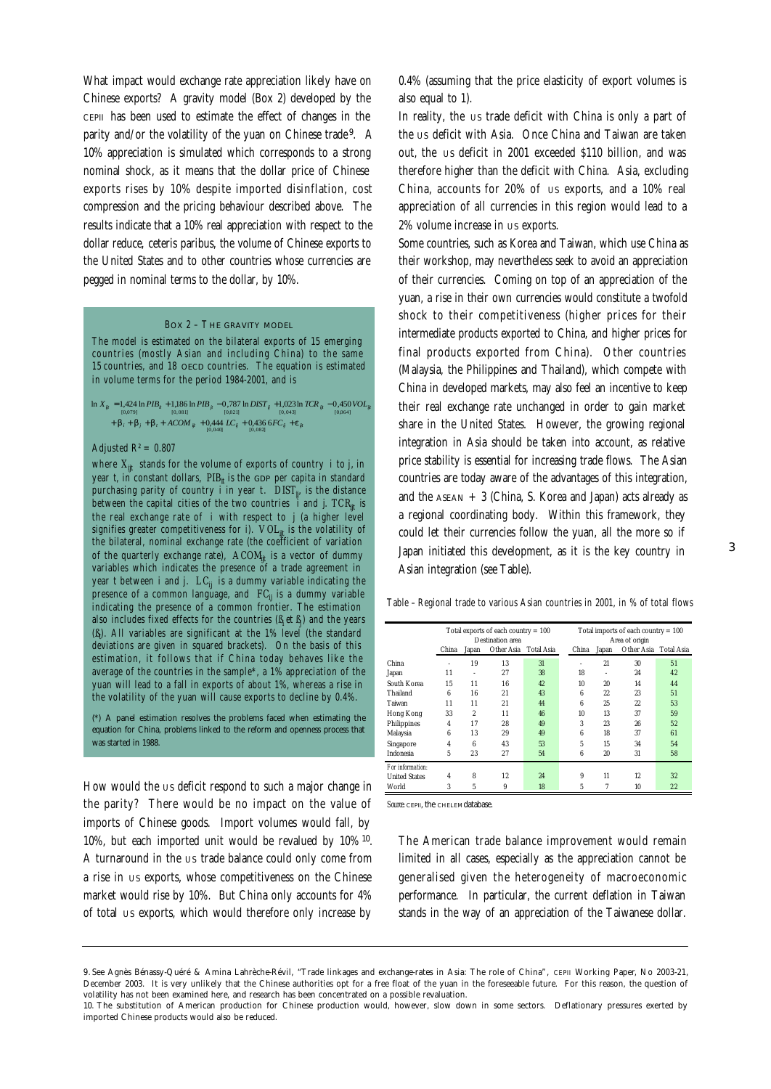What impact would exchange rate appreciation likely have on Chinese exports? A gravity model (Box 2) developed by the CEPII has been used to estimate the effect of changes in the parity and/or the volatility of the yuan on Chinese trade<sup>9</sup>. A 10% appreciation is simulated which corresponds to a strong nominal shock, as it means that the dollar price of Chinese exports rises by 10% despite imported disinflation, cost compression and the pricing behaviour described above. The results indicate that a 10% real appreciation with respect to the dollar reduce, *ceteris paribus*, the volume of Chinese exports to the United States and to other countries whose currencies are pegged in nominal terms to the dollar, by 10%.

#### BOX 2 – T HE GRAVITY MODEL

The model is estimated on the bilateral exports of 15 emerging countries (mostly Asian and including China) to the same 15 countries, and 18 OECD countries. The equation is estimated in volume terms for the period 1984-2001, and is

 $\mathbf{i} \cdot \mathbf{b}_i + \mathbf{b}_j + \mathbf{b}_t + ACOM_{ijt} + 0,444 \cdot LC_{ij} + 0,436 \cdot 6FC_{ij} + \mathbf{e}_{ijt}$  $\ln X_{ij} = 1,424 \ln PIB_{ii} + 1,186 \ln PIB_{ji} - 0,787 \ln DIST_{ij} + 1,023 \ln TCR_{ij} - 0,450 \text{ } VOL_{ij}$ <br>  $\ln_{10.043}$ 

#### Adjusted  $R^2 = 0.807$

where  $X_{\hat{i}\hat{i}}$  stands for the volume of exports of country *i* to *j*, in year  $t$ , in constant dollars,  $PIB<sub>r</sub>$  is the GDP per capita in standard purchasing parity of country *<sup>i</sup>* in year *t*. *DISTij*, is the distance between the capital cities of the two countries *<sup>i</sup>* and *j*. *TCRijt* is the real exchange rate of  $i$  with respect to  $j$  (a higher level signifies greater competitiveness for i).  $\textit{VOL}_{\textit{fit}}$  is the volatility of<br>the bilateral, nominal exchange rate (the coefficient of variation of the quarterly exchange rate), *ACOM<sub>it</sub>* is a vector of dummy variables which indicates the presence of a trade agreement in year *t* between *<sup>i</sup>* and *j*. *LCij* is a dummy variable indicating the presence of a common language, and  $FC_i$  is a dummy variable indicating the presence of a common frontier. The estimation also includes fixed effects for the countries  $(\mathcal{B}_i$ et  $\mathcal{B}_j$ ) and the years (*ßt* ). All variables are significant at the 1% level (the standard deviations are given in squared brackets). On the basis of this estimation, it follows that if China today behaves like the average of the countries in the sample\*, a 1% appreciation of the yuan will lead to a fall in exports of about 1%, whereas a rise in the volatility of the yuan will cause exports to decline by 0.4%.

(\*) A panel estimation resolves the problems faced when estimating the equation for China, problems linked to the reform and openness process that was started in 1988.

How would the US deficit respond to such a major change in the parity? There would be no impact on the value of imports of Chinese goods. Import volumes would fall, by 10%, but each imported unit would be revalued by 10% <sup>10</sup> . A turnaround in the us trade balance could only come from a rise in us exports, whose competitiveness on the Chinese market would rise by 10%. But China only accounts for 4% of total US exports, which would therefore only increase by

0.4% (assuming that the price elasticity of export volumes is also equal to 1).

In reality, the us trade deficit with China is only a part of the us deficit with Asia. Once China and Taiwan are taken out, the us deficit in 2001 exceeded \$110 billion, and was therefore higher than the deficit with China. Asia, excluding China, accounts for 20% of us exports, and a 10% real appreciation of all currencies in this region would lead to a 2% volume increase in us exports.

Some countries, such as Korea and Taiwan, which use China as their workshop, may nevertheless seek to avoid an appreciation of their currencies. Coming on top of an appreciation of the yuan, a rise in their own currencies would constitute a twofold shock to their competitiveness (higher prices for their intermediate products exported to China, and higher prices for final products exported from China). Other countries (Malaysia, the Philippines and Thailand), which compete with China in developed markets, may also feel an incentive to keep their real exchange rate unchanged in order to gain market share in the United States. However, the growing regional integration in Asia should be taken into account, as relative price stability is essential for increasing trade flows. The Asian countries are today aware of the advantages of this integration, and the  $ASEAN + 3$  (China, S. Korea and Japan) acts already as a regional coordinating body. Within this framework, they could let their currencies follow the yuan, all the more so if Japan initiated this development, as it is the key country in Asian integration (see Table).

Table – Regional trade to various Asian countries in 2001, in % of total flows

|                      | Total exports of each country $= 100$<br>Destination area<br>Other Asia<br><b>Total Asia</b><br>China<br>Japan |                |    |    | Total imports of each country $= 100$<br>Area of origin<br>Other Asia<br><b>Total Asia</b><br>China<br>Japan |         |    |    |
|----------------------|----------------------------------------------------------------------------------------------------------------|----------------|----|----|--------------------------------------------------------------------------------------------------------------|---------|----|----|
|                      |                                                                                                                |                |    |    |                                                                                                              |         |    |    |
| China                |                                                                                                                | 19             | 13 | 31 |                                                                                                              | 21      | 30 | 51 |
| Japan                | 11                                                                                                             | i.             | 27 | 38 | 18                                                                                                           | ٠       | 24 | 42 |
| South Korea          | 15                                                                                                             | 11             | 16 | 42 | 10                                                                                                           | 20      | 14 | 44 |
| Thailand             | 6                                                                                                              | 16             | 21 | 43 | 6                                                                                                            | $^{22}$ | 23 | 51 |
| Taiwan               | 11                                                                                                             | 11             | 21 | 44 | 6                                                                                                            | 25      | 22 | 53 |
| <b>Hong Kong</b>     | 33                                                                                                             | $\overline{2}$ | 11 | 46 | 10                                                                                                           | 13      | 37 | 59 |
| Philippines          | $\overline{4}$                                                                                                 | 17             | 28 | 49 | 3                                                                                                            | 23      | 26 | 52 |
| Malaysia             | 6                                                                                                              | 13             | 29 | 49 | 6                                                                                                            | 18      | 37 | 61 |
| Singapore            | $\overline{4}$                                                                                                 | 6              | 43 | 53 | 5                                                                                                            | 15      | 34 | 54 |
| <b>Indonesia</b>     | 5                                                                                                              | 23             | 27 | 54 | 6                                                                                                            | 20      | 31 | 58 |
| For information:     |                                                                                                                |                |    |    |                                                                                                              |         |    |    |
| <b>United States</b> | 4                                                                                                              | 8              | 12 | 24 | 9                                                                                                            | 11      | 12 | 32 |
| World                | 3                                                                                                              | 5              | 9  | 18 | 5                                                                                                            | 7       | 10 | 22 |

*Source*: **CEPIL, the CHELEMORTARY** 

The American trade balance improvement would remain limited in all cases, especially as the appreciation cannot be generalised given the heterogeneity of macroeconomic performance. In particular, the current deflation in Taiwan stands in the way of an appreciation of the Taiwanese dollar.

<sup>9.</sup> See Agnès Bénassy-Quéré & Amina Lahrèche-Révil, "Trade linkages and exchange-rates in Asia: The role of China", *CEPII Working Paper*, No 2003-21, December 2003. It is very unlikely that the Chinese authorities opt for a free float of the yuan in the foreseeable future. For this reason, the question of volatility has not been examined here, and research has been concentrated on a possible revaluation.

<sup>10.</sup> The substitution of American production for Chinese production would, however, slow down in some sectors. Deflationary pressures exerted by imported Chinese products would also be reduced.